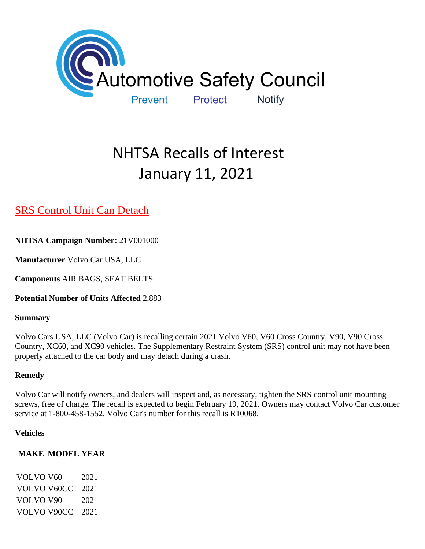

# NHTSA Recalls of Interest January 11, 2021

# [SRS Control Unit Can Detach](https://www.nhtsa.gov/recalls?nhtsaId=21V001#recalls650)

**NHTSA Campaign Number:** 21V001000

**Manufacturer** Volvo Car USA, LLC

**Components** AIR BAGS, SEAT BELTS

**Potential Number of Units Affected** 2,883

#### **Summary**

Volvo Cars USA, LLC (Volvo Car) is recalling certain 2021 Volvo V60, V60 Cross Country, V90, V90 Cross Country, XC60, and XC90 vehicles. The Supplementary Restraint System (SRS) control unit may not have been properly attached to the car body and may detach during a crash.

# **Remedy**

Volvo Car will notify owners, and dealers will inspect and, as necessary, tighten the SRS control unit mounting screws, free of charge. The recall is expected to begin February 19, 2021. Owners may contact Volvo Car customer service at 1-800-458-1552. Volvo Car's number for this recall is R10068.

#### **Vehicles**

# **MAKE MODEL YEAR**

VOLVO V60 2021 VOLVO V60CC 2021 VOLVO V90 2021 VOLVO V90CC 2021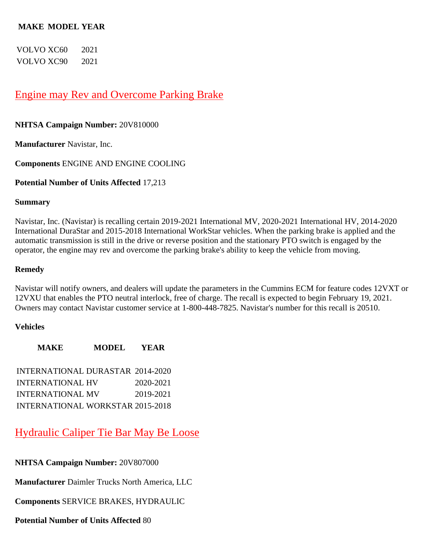#### **MAKE MODEL YEAR**

VOLVO XC60 2021 VOLVO XC90 2021

# [Engine may Rev and Overcome Parking Brake](https://www.nhtsa.gov/recalls?nhtsaId=20V810#recalls650)

#### **NHTSA Campaign Number:** 20V810000

**Manufacturer** Navistar, Inc.

**Components** ENGINE AND ENGINE COOLING

#### **Potential Number of Units Affected** 17,213

#### **Summary**

Navistar, Inc. (Navistar) is recalling certain 2019-2021 International MV, 2020-2021 International HV, 2014-2020 International DuraStar and 2015-2018 International WorkStar vehicles. When the parking brake is applied and the automatic transmission is still in the drive or reverse position and the stationary PTO switch is engaged by the operator, the engine may rev and overcome the parking brake's ability to keep the vehicle from moving.

#### **Remedy**

Navistar will notify owners, and dealers will update the parameters in the Cummins ECM for feature codes 12VXT or 12VXU that enables the PTO neutral interlock, free of charge. The recall is expected to begin February 19, 2021. Owners may contact Navistar customer service at 1-800-448-7825. Navistar's number for this recall is 20510.

#### **Vehicles**

**MAKE MODEL YEAR** INTERNATIONAL DURASTAR 2014-2020 INTERNATIONAL HV 2020-2021 INTERNATIONAL MV 2019-2021 INTERNATIONAL WORKSTAR 2015-2018

[Hydraulic Caliper Tie Bar May Be Loose](https://www.nhtsa.gov/recalls?nhtsaId=20V807#recalls650) 

**NHTSA Campaign Number:** 20V807000

**Manufacturer** Daimler Trucks North America, LLC

**Components** SERVICE BRAKES, HYDRAULIC

**Potential Number of Units Affected** 80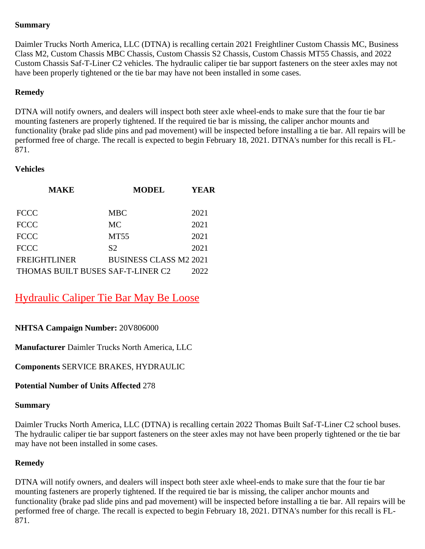## **Summary**

Daimler Trucks North America, LLC (DTNA) is recalling certain 2021 Freightliner Custom Chassis MC, Business Class M2, Custom Chassis MBC Chassis, Custom Chassis S2 Chassis, Custom Chassis MT55 Chassis, and 2022 Custom Chassis Saf-T-Liner C2 vehicles. The hydraulic caliper tie bar support fasteners on the steer axles may not have been properly tightened or the tie bar may have not been installed in some cases.

#### **Remedy**

DTNA will notify owners, and dealers will inspect both steer axle wheel-ends to make sure that the four tie bar mounting fasteners are properly tightened. If the required tie bar is missing, the caliper anchor mounts and functionality (brake pad slide pins and pad movement) will be inspected before installing a tie bar. All repairs will be performed free of charge. The recall is expected to begin February 18, 2021. DTNA's number for this recall is FL-871.

#### **Vehicles**

| <b>MAKE</b>                       | <b>MODEL</b>                  | YEAR |
|-----------------------------------|-------------------------------|------|
| <b>FCCC</b>                       | MBC                           | 2021 |
| <b>FCCC</b>                       | <b>MC</b>                     | 2021 |
| <b>FCCC</b>                       | <b>MT55</b>                   | 2021 |
| <b>FCCC</b>                       | S <sub>2</sub>                | 2021 |
| <b>FREIGHTLINER</b>               | <b>BUSINESS CLASS M2 2021</b> |      |
| THOMAS BUILT BUSES SAF-T-LINER C2 |                               | 2022 |

# [Hydraulic Caliper Tie Bar May Be Loose](https://www.nhtsa.gov/recalls?nhtsaId=20V806#recalls650)

# **NHTSA Campaign Number:** 20V806000

**Manufacturer** Daimler Trucks North America, LLC

**Components** SERVICE BRAKES, HYDRAULIC

# **Potential Number of Units Affected** 278

#### **Summary**

Daimler Trucks North America, LLC (DTNA) is recalling certain 2022 Thomas Built Saf-T-Liner C2 school buses. The hydraulic caliper tie bar support fasteners on the steer axles may not have been properly tightened or the tie bar may have not been installed in some cases.

# **Remedy**

DTNA will notify owners, and dealers will inspect both steer axle wheel-ends to make sure that the four tie bar mounting fasteners are properly tightened. If the required tie bar is missing, the caliper anchor mounts and functionality (brake pad slide pins and pad movement) will be inspected before installing a tie bar. All repairs will be performed free of charge. The recall is expected to begin February 18, 2021. DTNA's number for this recall is FL-871.